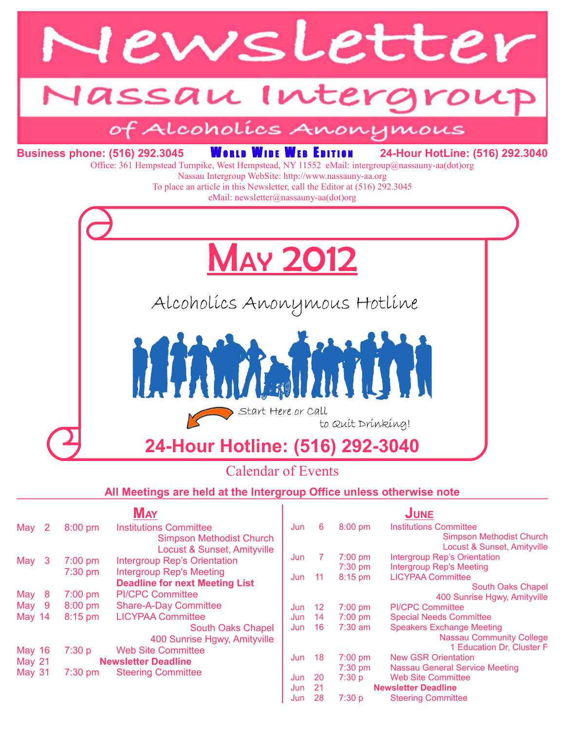

### Calendar of Events

#### **All Meetings are held at the Intergroup Office unless otherwise note**

|               |                                        | May                                    |     |                                  |           | UNE                                 |
|---------------|----------------------------------------|----------------------------------------|-----|----------------------------------|-----------|-------------------------------------|
| May<br>-2     | 8:00 pm                                | <b>Institutions Committee</b>          | Jun | 6                                | $8:00$ pm | <b>Institutions Committee</b>       |
|               |                                        | <b>Simpson Methodist Church</b>        |     |                                  |           | <b>Simpson Methodist Church</b>     |
|               |                                        | <b>Locust &amp; Sunset, Amityville</b> |     |                                  |           | Locust & Sunset, Amityville         |
| May<br>-3     | $7:00$ pm                              | <b>Intergroup Rep's Orientation</b>    | Jun |                                  | $7:00$ pm | <b>Intergroup Rep's Orientation</b> |
|               | 7:30 pm                                | <b>Intergroup Rep's Meeting</b>        |     |                                  | $7:30$ pm | <b>Intergroup Rep's Meeting</b>     |
|               |                                        | <b>Deadline for next Meeting List</b>  | Jun | 11                               | 8:15 pm   | <b>LICYPAA Committee</b>            |
|               |                                        |                                        |     |                                  |           | South Oaks Chapel                   |
| May<br>-8     | $7:00$ pm                              | <b>PI/CPC Committee</b>                |     |                                  |           | 400 Sunrise Hgwy, Amityville        |
| May 9         | $8:00$ pm                              | <b>Share-A-Day Committee</b>           | Jun | 12                               | 7:00 pm   | <b>PI/CPC Committee</b>             |
| <b>May 14</b> | 8:15 pm                                | <b>LICYPAA Committee</b>               | Jun | 14                               | $7:00$ pm | <b>Special Needs Committee</b>      |
|               |                                        | <b>South Oaks Chapel</b>               | Jun | 16                               | $7:30$ am | <b>Speakers Exchange Meeting</b>    |
|               |                                        | 400 Sunrise Hgwy, Amityville           |     |                                  |           | <b>Nassau Community College</b>     |
| <b>May 16</b> | 7:30 p                                 | <b>Web Site Committee</b>              |     |                                  |           | 1 Education Dr, Cluster F           |
| <b>May 21</b> | <b>Newsletter Deadline</b>             |                                        | Jun | 18                               | $7:00$ pm | <b>New GSR Orientation</b>          |
| <b>May 31</b> | <b>Steering Committee</b><br>$7:30$ pm |                                        |     |                                  | $7:30$ pm | Nassau General Service Meeting      |
|               |                                        |                                        | Jun | 20                               | 7:30 p    | <b>Web Site Committee</b>           |
|               |                                        |                                        | Jun | 21<br><b>Newsletter Deadline</b> |           |                                     |
|               |                                        |                                        | Jun | 28                               | 7:30p     | <b>Steering Committee</b>           |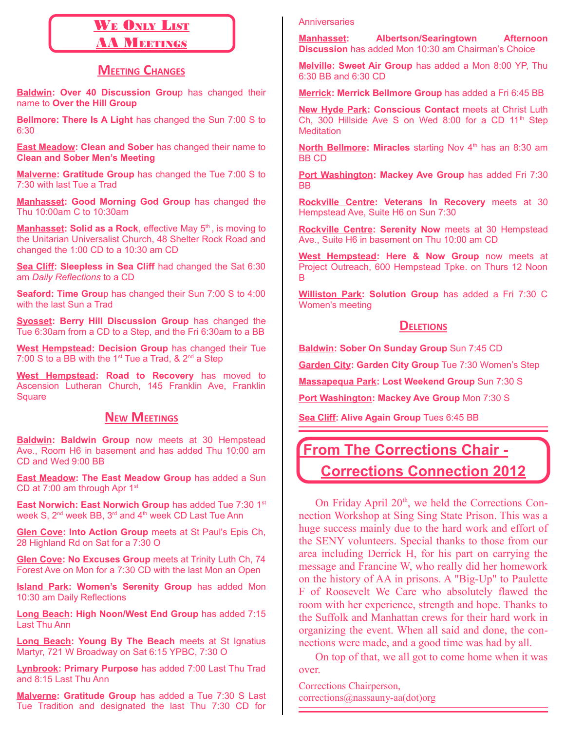# WE ONLY LIST

### **AA MEETINGS**

### **MEETING CHANGES**

**Baldwin: Over 40 Discussion Grou**p has changed their name to **Over the Hill Group**

**Bellmore: There Is A Light** has changed the Sun 7:00 S to 6:30

**East Meadow: Clean and Sober** has changed their name to **Clean and Sober Men's Meeting**

**Malverne: Gratitude Group** has changed the Tue 7:00 S to 7:30 with last Tue a Trad

**Manhasset: Good Morning God Group** has changed the Thu 10:00am C to 10:30am

**Manhasset: Solid as a Rock**, effective May 5<sup>th</sup>, is moving to the Unitarian Universalist Church, 48 Shelter Rock Road and changed the 1:00 CD to a 10:30 am CD

**Sea Cliff: Sleepless in Sea Cliff** had changed the Sat 6:30 am *Daily Reflections* to a CD

**Seaford: Time Grou**p has changed their Sun 7:00 S to 4:00 with the last Sun a Trad

**Syosset: Berry Hill Discussion Group** has changed the Tue 6:30am from a CD to a Step, and the Fri 6:30am to a BB

**West Hempstead: Decision Group** has changed their Tue 7:00 S to a BB with the 1<sup>st</sup> Tue a Trad,  $\&$  2<sup>nd</sup> a Step

**West Hempstead: Road to Recovery** has moved to Ascension Lutheran Church, 145 Franklin Ave, Franklin **Square** 

### **NEW MEETINGS**

**Baldwin: Baldwin Group** now meets at 30 Hempstead Ave., Room H6 in basement and has added Thu 10:00 am CD and Wed 9:00 BB

**East Meadow: The East Meadow Group** has added a Sun CD at  $7:00$  am through Apr  $1<sup>st</sup>$ 

**East Norwich: East Norwich Group** has added Tue 7:30 1<sup>st</sup> week S, 2<sup>nd</sup> week BB, 3<sup>rd</sup> and 4<sup>th</sup> week CD Last Tue Ann

**Glen Cove: Into Action Group** meets at St Paul's Epis Ch, 28 Highland Rd on Sat for a 7:30 O

**Glen Cove: No Excuses Group** meets at Trinity Luth Ch, 74 Forest Ave on Mon for a 7:30 CD with the last Mon an Open

**Island Park: Women's Serenity Group** has added Mon 10:30 am Daily Reflections

**Long Beach: High Noon/West End Group** has added 7:15 Last Thu Ann

**Long Beach: Young By The Beach** meets at St Ignatius Martyr, 721 W Broadway on Sat 6:15 YPBC, 7:30 O

**Lynbrook: Primary Purpose** has added 7:00 Last Thu Trad and 8:15 Last Thu Ann

**Malverne: Gratitude Group** has added a Tue 7:30 S Last Tue Tradition and designated the last Thu 7:30 CD for

#### **Anniversaries**

**Manhasset: Albertson/Searingtown Afternoon Discussion** has added Mon 10:30 am Chairman's Choice

**Melville: Sweet Air Group** has added a Mon 8:00 YP, Thu 6:30 BB and 6:30 CD

**Merrick: Merrick Bellmore Group** has added a Fri 6:45 BB

**New Hyde Park: Conscious Contact** meets at Christ Luth Ch, 300 Hillside Ave S on Wed 8:00 for a CD  $11<sup>th</sup>$  Step **Meditation** 

North Bellmore: Miracles starting Nov 4<sup>th</sup> has an 8:30 am BB CD

**Port Washington: Mackey Ave Group** has added Fri 7:30 BB

**Rockville Centre: Veterans In Recovery** meets at 30 Hempstead Ave, Suite H6 on Sun 7:30

**Rockville Centre: Serenity Now** meets at 30 Hempstead Ave., Suite H6 in basement on Thu 10:00 am CD

**West Hempstead: Here & Now Group** now meets at Project Outreach, 600 Hempstead Tpke. on Thurs 12 Noon B

**Williston Park: Solution Group** has added a Fri 7:30 C Women's meeting

#### **DELETIONS**

**Baldwin: Sober On Sunday Group** Sun 7:45 CD

**Garden City: Garden City Group** Tue 7:30 Women's Step

**Massapequa Park: Lost Weekend Group** Sun 7:30 S

**Port Washington: Mackey Ave Group** Mon 7:30 S

**Sea Cliff: Alive Again Group** Tues 6:45 BB

## **From The Corrections Chair - Corrections Connection 2012**

On Friday April  $20<sup>th</sup>$ , we held the Corrections Connection Workshop at Sing Sing State Prison. This was a huge success mainly due to the hard work and effort of the SENY volunteers. Special thanks to those from our area including Derrick H, for his part on carrying the message and Francine W, who really did her homework on the history of AA in prisons. A "Big-Up" to Paulette F of Roosevelt We Care who absolutely flawed the room with her experience, strength and hope. Thanks to the Suffolk and Manhattan crews for their hard work in organizing the event. When all said and done, the connections were made, and a good time was had by all.

On top of that, we all got to come home when it was over.

Corrections Chairperson, corrections@nassauny-aa(dot)org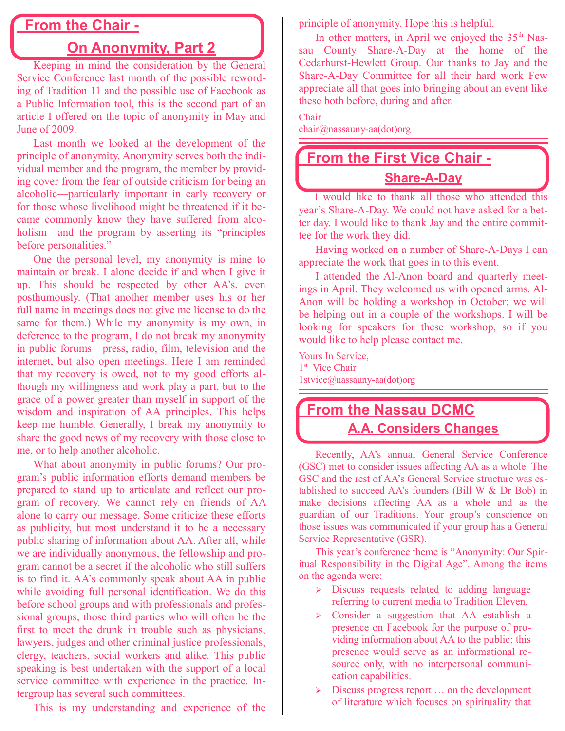## **From the Chair -**

## **On Anonymity, Part 2**

Keeping in mind the consideration by the General Service Conference last month of the possible rewording of Tradition 11 and the possible use of Facebook as a Public Information tool, this is the second part of an article I offered on the topic of anonymity in May and June of 2009.

Last month we looked at the development of the principle of anonymity. Anonymity serves both the individual member and the program, the member by providing cover from the fear of outside criticism for being an alcoholic—particularly important in early recovery or for those whose livelihood might be threatened if it became commonly know they have suffered from alcoholism—and the program by asserting its "principles before personalities."

One the personal level, my anonymity is mine to maintain or break. I alone decide if and when I give it up. This should be respected by other AA's, even posthumously. (That another member uses his or her full name in meetings does not give me license to do the same for them.) While my anonymity is my own, in deference to the program, I do not break my anonymity in public forums—press, radio, film, television and the internet, but also open meetings. Here I am reminded that my recovery is owed, not to my good efforts although my willingness and work play a part, but to the grace of a power greater than myself in support of the wisdom and inspiration of AA principles. This helps keep me humble. Generally, I break my anonymity to share the good news of my recovery with those close to me, or to help another alcoholic.

What about anonymity in public forums? Our program's public information efforts demand members be prepared to stand up to articulate and reflect our program of recovery. We cannot rely on friends of AA alone to carry our message. Some criticize these efforts as publicity, but most understand it to be a necessary public sharing of information about AA. After all, while we are individually anonymous, the fellowship and program cannot be a secret if the alcoholic who still suffers is to find it. AA's commonly speak about AA in public while avoiding full personal identification. We do this before school groups and with professionals and professional groups, those third parties who will often be the first to meet the drunk in trouble such as physicians, lawyers, judges and other criminal justice professionals, clergy, teachers, social workers and alike. This public speaking is best undertaken with the support of a local service committee with experience in the practice. Intergroup has several such committees.

This is my understanding and experience of the

principle of anonymity. Hope this is helpful.

In other matters, in April we enjoyed the  $35<sup>th</sup>$  Nassau County Share-A-Day at the home of the Cedarhurst-Hewlett Group. Our thanks to Jay and the Share-A-Day Committee for all their hard work Few appreciate all that goes into bringing about an event like these both before, during and after.

Chair

chair@nassauny-aa(dot)org

## **From the First Vice Chair - Share-A-Day**

I would like to thank all those who attended this year's Share-A-Day. We could not have asked for a better day. I would like to thank Jay and the entire committee for the work they did.

Having worked on a number of Share-A-Days I can appreciate the work that goes in to this event.

I attended the Al-Anon board and quarterly meetings in April. They welcomed us with opened arms. Al-Anon will be holding a workshop in October; we will be helping out in a couple of the workshops. I will be looking for speakers for these workshop, so if you would like to help please contact me.

Yours In Service, 1<sup>st</sup> Vice Chair 1stvice@nassauny-aa(dot)org

## **From the Nassau DCMC A.A. Considers Changes**

Recently, AA's annual General Service Conference (GSC) met to consider issues affecting AA as a whole. The GSC and the rest of AA's General Service structure was established to succeed AA's founders (Bill W & Dr Bob) in make decisions affecting AA as a whole and as the guardian of our Traditions. Your group's conscience on those issues was communicated if your group has a General Service Representative (GSR).

This year's conference theme is "Anonymity: Our Spiritual Responsibility in the Digital Age". Among the items on the agenda were:

- ➢ Discuss requests related to adding language referring to current media to Tradition Eleven.
- ➢ Consider a suggestion that AA establish a presence on Facebook for the purpose of providing information about AA to the public; this presence would serve as an informational resource only, with no interpersonal communication capabilities.
- Discuss progress report ... on the development of literature which focuses on spirituality that